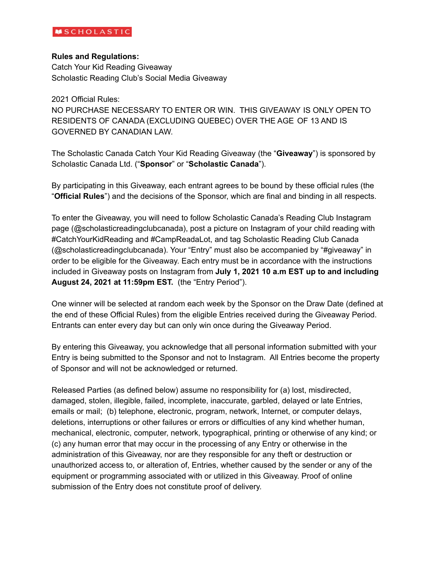

## **Rules and Regulations:**

Catch Your Kid Reading Giveaway Scholastic Reading Club's Social Media Giveaway

## 2021 Official Rules:

NO PURCHASE NECESSARY TO ENTER OR WIN. THIS GIVEAWAY IS ONLY OPEN TO RESIDENTS OF CANADA (EXCLUDING QUEBEC) OVER THE AGE OF 13 AND IS GOVERNED BY CANADIAN LAW.

The Scholastic Canada Catch Your Kid Reading Giveaway (the "**Giveaway**") is sponsored by Scholastic Canada Ltd. ("**Sponsor**" or "**Scholastic Canada**").

By participating in this Giveaway, each entrant agrees to be bound by these official rules (the "**Official Rules**") and the decisions of the Sponsor, which are final and binding in all respects.

To enter the Giveaway, you will need to follow Scholastic Canada's Reading Club Instagram page (@scholasticreadingclubcanada), post a picture on Instagram of your child reading with #CatchYourKidReading and #CampReadaLot, and tag Scholastic Reading Club Canada (@scholasticreadingclubcanada). Your "Entry" must also be accompanied by "#giveaway" in order to be eligible for the Giveaway. Each entry must be in accordance with the instructions included in Giveaway posts on Instagram from **July 1, 2021 10 a.m EST up to and including August 24, 2021 at 11:59pm EST.** (the "Entry Period").

One winner will be selected at random each week by the Sponsor on the Draw Date (defined at the end of these Official Rules) from the eligible Entries received during the Giveaway Period. Entrants can enter every day but can only win once during the Giveaway Period.

By entering this Giveaway, you acknowledge that all personal information submitted with your Entry is being submitted to the Sponsor and not to Instagram. All Entries become the property of Sponsor and will not be acknowledged or returned.

Released Parties (as defined below) assume no responsibility for (a) lost, misdirected, damaged, stolen, illegible, failed, incomplete, inaccurate, garbled, delayed or late Entries, emails or mail; (b) telephone, electronic, program, network, Internet, or computer delays, deletions, interruptions or other failures or errors or difficulties of any kind whether human, mechanical, electronic, computer, network, typographical, printing or otherwise of any kind; or (c) any human error that may occur in the processing of any Entry or otherwise in the administration of this Giveaway, nor are they responsible for any theft or destruction or unauthorized access to, or alteration of, Entries, whether caused by the sender or any of the equipment or programming associated with or utilized in this Giveaway. Proof of online submission of the Entry does not constitute proof of delivery.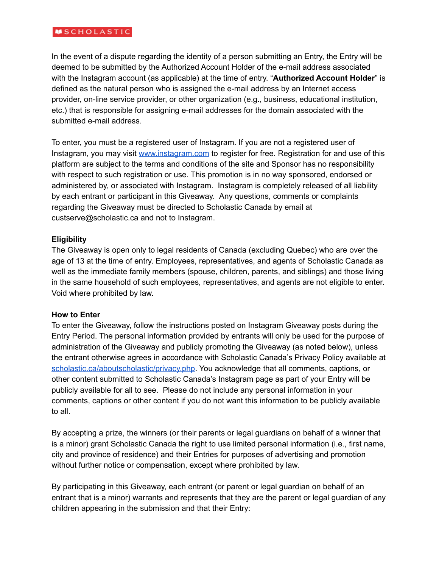# **MSCHOLASTIC**

In the event of a dispute regarding the identity of a person submitting an Entry, the Entry will be deemed to be submitted by the Authorized Account Holder of the e-mail address associated with the Instagram account (as applicable) at the time of entry. "**Authorized Account Holder**" is defined as the natural person who is assigned the e-mail address by an Internet access provider, on-line service provider, or other organization (e.g., business, educational institution, etc.) that is responsible for assigning e-mail addresses for the domain associated with the submitted e-mail address.

To enter, you must be a registered user of Instagram. If you are not a registered user of Instagram, you may visit [www.instagram.com](http://www.instagram.com/) to register for free. Registration for and use of this platform are subject to the terms and conditions of the site and Sponsor has no responsibility with respect to such registration or use. This promotion is in no way sponsored, endorsed or administered by, or associated with Instagram. Instagram is completely released of all liability by each entrant or participant in this Giveaway. Any questions, comments or complaints regarding the Giveaway must be directed to Scholastic Canada by email at custserve@scholastic.ca and not to Instagram.

## **Eligibility**

The Giveaway is open only to legal residents of Canada (excluding Quebec) who are over the age of 13 at the time of entry. Employees, representatives, and agents of Scholastic Canada as well as the immediate family members (spouse, children, parents, and siblings) and those living in the same household of such employees, representatives, and agents are not eligible to enter. Void where prohibited by law.

#### **How to Enter**

To enter the Giveaway, follow the instructions posted on Instagram Giveaway posts during the Entry Period. The personal information provided by entrants will only be used for the purpose of administration of the Giveaway and publicly promoting the Giveaway (as noted below), unless the entrant otherwise agrees in accordance with Scholastic Canada's Privacy Policy available at [scholastic.ca/aboutscholastic/privacy.php](http://scholastic.ca/aboutscholastic/privacy.php). You acknowledge that all comments, captions, or other content submitted to Scholastic Canada's Instagram page as part of your Entry will be publicly available for all to see. Please do not include any personal information in your comments, captions or other content if you do not want this information to be publicly available to all.

By accepting a prize, the winners (or their parents or legal guardians on behalf of a winner that is a minor) grant Scholastic Canada the right to use limited personal information (i.e., first name, city and province of residence) and their Entries for purposes of advertising and promotion without further notice or compensation, except where prohibited by law.

By participating in this Giveaway, each entrant (or parent or legal guardian on behalf of an entrant that is a minor) warrants and represents that they are the parent or legal guardian of any children appearing in the submission and that their Entry: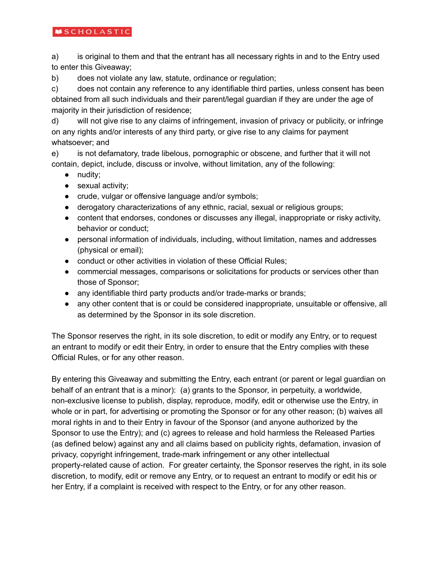## **MSCHOLASTIC**

a) is original to them and that the entrant has all necessary rights in and to the Entry used to enter this Giveaway;

b) does not violate any law, statute, ordinance or regulation;

c) does not contain any reference to any identifiable third parties, unless consent has been obtained from all such individuals and their parent/legal guardian if they are under the age of majority in their jurisdiction of residence;

d) will not give rise to any claims of infringement, invasion of privacy or publicity, or infringe on any rights and/or interests of any third party, or give rise to any claims for payment whatsoever; and

e) is not defamatory, trade libelous, pornographic or obscene, and further that it will not contain, depict, include, discuss or involve, without limitation, any of the following:

- nudity;
- sexual activity;
- crude, vulgar or offensive language and/or symbols;
- derogatory characterizations of any ethnic, racial, sexual or religious groups;
- content that endorses, condones or discusses any illegal, inappropriate or risky activity, behavior or conduct;
- personal information of individuals, including, without limitation, names and addresses (physical or email);
- conduct or other activities in violation of these Official Rules;
- commercial messages, comparisons or solicitations for products or services other than those of Sponsor;
- any identifiable third party products and/or trade-marks or brands;
- any other content that is or could be considered inappropriate, unsuitable or offensive, all as determined by the Sponsor in its sole discretion.

The Sponsor reserves the right, in its sole discretion, to edit or modify any Entry, or to request an entrant to modify or edit their Entry, in order to ensure that the Entry complies with these Official Rules, or for any other reason.

By entering this Giveaway and submitting the Entry, each entrant (or parent or legal guardian on behalf of an entrant that is a minor): (a) grants to the Sponsor, in perpetuity, a worldwide, non-exclusive license to publish, display, reproduce, modify, edit or otherwise use the Entry, in whole or in part, for advertising or promoting the Sponsor or for any other reason; (b) waives all moral rights in and to their Entry in favour of the Sponsor (and anyone authorized by the Sponsor to use the Entry); and (c) agrees to release and hold harmless the Released Parties (as defined below) against any and all claims based on publicity rights, defamation, invasion of privacy, copyright infringement, trade-mark infringement or any other intellectual property-related cause of action. For greater certainty, the Sponsor reserves the right, in its sole discretion, to modify, edit or remove any Entry, or to request an entrant to modify or edit his or her Entry, if a complaint is received with respect to the Entry, or for any other reason.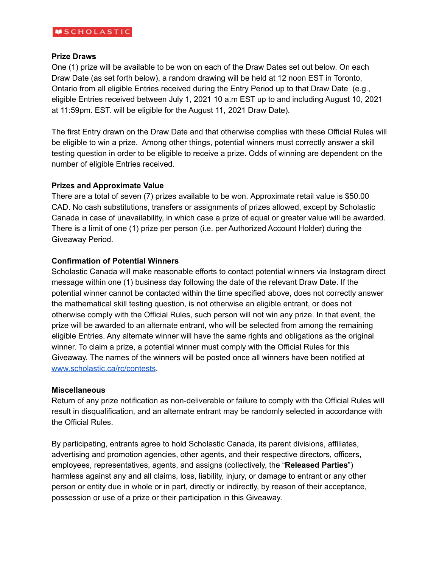#### **Prize Draws**

One (1) prize will be available to be won on each of the Draw Dates set out below. On each Draw Date (as set forth below), a random drawing will be held at 12 noon EST in Toronto, Ontario from all eligible Entries received during the Entry Period up to that Draw Date (e.g., eligible Entries received between July 1, 2021 10 a.m EST up to and including August 10, 2021 at 11:59pm. EST. will be eligible for the August 11, 2021 Draw Date).

The first Entry drawn on the Draw Date and that otherwise complies with these Official Rules will be eligible to win a prize. Among other things, potential winners must correctly answer a skill testing question in order to be eligible to receive a prize. Odds of winning are dependent on the number of eligible Entries received.

## **Prizes and Approximate Value**

There are a total of seven (7) prizes available to be won. Approximate retail value is \$50.00 CAD. No cash substitutions, transfers or assignments of prizes allowed, except by Scholastic Canada in case of unavailability, in which case a prize of equal or greater value will be awarded. There is a limit of one (1) prize per person (i.e. per Authorized Account Holder) during the Giveaway Period.

## **Confirmation of Potential Winners**

Scholastic Canada will make reasonable efforts to contact potential winners via Instagram direct message within one (1) business day following the date of the relevant Draw Date. If the potential winner cannot be contacted within the time specified above, does not correctly answer the mathematical skill testing question, is not otherwise an eligible entrant, or does not otherwise comply with the Official Rules, such person will not win any prize. In that event, the prize will be awarded to an alternate entrant, who will be selected from among the remaining eligible Entries. Any alternate winner will have the same rights and obligations as the original winner. To claim a prize, a potential winner must comply with the Official Rules for this Giveaway. The names of the winners will be posted once all winners have been notified at [www.scholastic.ca/rc/contests](https://classroomessentials.scholastic.ca/en/contests).

## **Miscellaneous**

Return of any prize notification as non-deliverable or failure to comply with the Official Rules will result in disqualification, and an alternate entrant may be randomly selected in accordance with the Official Rules.

By participating, entrants agree to hold Scholastic Canada, its parent divisions, affiliates, advertising and promotion agencies, other agents, and their respective directors, officers, employees, representatives, agents, and assigns (collectively, the "**Released Parties**") harmless against any and all claims, loss, liability, injury, or damage to entrant or any other person or entity due in whole or in part, directly or indirectly, by reason of their acceptance, possession or use of a prize or their participation in this Giveaway.